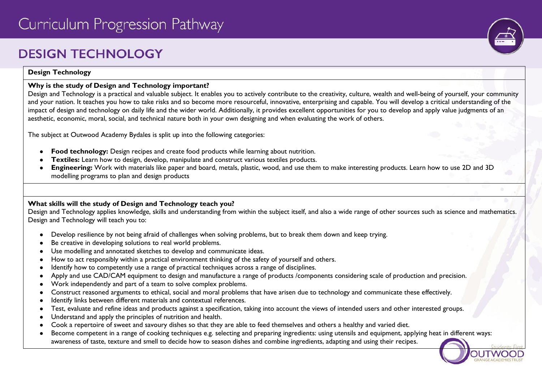# **DESIGN TECHNOLOGY**



#### **Design Technology**

## **Why is the study of Design and Technology important?**

Design and Technology is a practical and valuable subject. It enables you to actively contribute to the creativity, culture, wealth and well-being of yourself, your community and your nation. It teaches you how to take risks and so become more resourceful, innovative, enterprising and capable. You will develop a critical understanding of the impact of design and technology on daily life and the wider world. Additionally, it provides excellent opportunities for you to develop and apply value judgments of an aesthetic, economic, moral, social, and technical nature both in your own designing and when evaluating the work of others.

The subject at Outwood Academy Bydales is split up into the following categories:

- **Food technology:** Design recipes and create food products while learning about nutrition.
- **Textiles:** Learn how to design, develop, manipulate and construct various textiles products.
- **Engineering:** Work with materials like paper and board, metals, plastic, wood, and use them to make interesting products. Learn how to use 2D and 3D modelling programs to plan and design products

# **What skills will the study of Design and Technology teach you?**

Design and Technology applies knowledge, skills and understanding from within the subject itself, and also a wide range of other sources such as science and mathematics. Design and Technology will teach you to:

- Develop resilience by not being afraid of challenges when solving problems, but to break them down and keep trying.
- Be creative in developing solutions to real world problems.
- Use modelling and annotated sketches to develop and communicate ideas.
- How to act responsibly within a practical environment thinking of the safety of yourself and others.
- Identify how to competently use a range of practical techniques across a range of disciplines.
- Apply and use CAD/CAM equipment to design and manufacture a range of products /components considering scale of production and precision.
- Work independently and part of a team to solve complex problems.
- Construct reasoned arguments to ethical, social and moral problems that have arisen due to technology and communicate these effectively.
- Identify links between different materials and contextual references.
- Test, evaluate and refine ideas and products against a specification, taking into account the views of intended users and other interested groups.
- Understand and apply the principles of nutrition and health.
- Cook a repertoire of sweet and savoury dishes so that they are able to feed themselves and others a healthy and varied diet.
- Become competent in a range of cooking techniques e.g. selecting and preparing ingredients: using utensils and equipment, applying heat in different ways: awareness of taste, texture and smell to decide how to season dishes and combine ingredients, adapting and using their recipes.

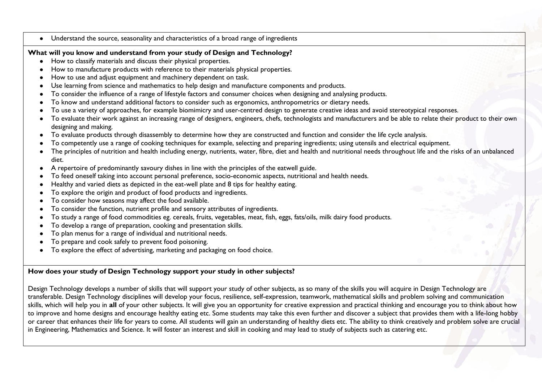● Understand the source, seasonality and characteristics of a broad range of ingredients

#### **What will you know and understand from your study of Design and Technology?**

- How to classify materials and discuss their physical properties.
- How to manufacture products with reference to their materials physical properties.
- How to use and adjust equipment and machinery dependent on task.
- Use learning from science and mathematics to help design and manufacture components and products.
- To consider the influence of a range of lifestyle factors and consumer choices when designing and analysing products.
- To know and understand additional factors to consider such as ergonomics, anthropometrics or dietary needs.
- To use a variety of approaches, for example biomimicry and user-centred design to generate creative ideas and avoid stereotypical responses.
- To evaluate their work against an increasing range of designers, engineers, chefs, technologists and manufacturers and be able to relate their product to their own designing and making.
- To evaluate products through disassembly to determine how they are constructed and function and consider the life cycle analysis.
- To competently use a range of cooking techniques for example, selecting and preparing ingredients; using utensils and electrical equipment.
- The principles of nutrition and health including energy, nutrients, water, fibre, diet and health and nutritional needs throughout life and the risks of an unbalanced diet.
- A repertoire of predominantly savoury dishes in line with the principles of the eatwell guide.
- To feed oneself taking into account personal preference, socio-economic aspects, nutritional and health needs.
- Healthy and varied diets as depicted in the eat-well plate and 8 tips for healthy eating.
- To explore the origin and product of food products and ingredients.
- To consider how seasons may affect the food available.
- To consider the function, nutrient profile and sensory attributes of ingredients.
- To study a range of food commodities eg. cereals, fruits, vegetables, meat, fish, eggs, fats/oils, milk dairy food products.
- To develop a range of preparation, cooking and presentation skills.
- To plan menus for a range of individual and nutritional needs.
- To prepare and cook safely to prevent food poisoning.
- To explore the effect of advertising, marketing and packaging on food choice.

# **How does your study of Design Technology support your study in other subjects?**

Design Technology develops a number of skills that will support your study of other subjects, as so many of the skills you will acquire in Design Technology are transferable. Design Technology disciplines will develop your focus, resilience, self-expression, teamwork, mathematical skills and problem solving and communication skills, which will help you in **all** of your other subjects. It will give you an opportunity for creative expression and practical thinking and encourage you to think about how to improve and home designs and encourage healthy eating etc. Some students may take this even further and discover a subject that provides them with a life-long hobby or career that enhances their life for years to come. All students will gain an understanding of healthy diets etc. The ability to think creatively and problem solve are crucial in Engineering, Mathematics and Science. It will foster an interest and skill in cooking and may lead to study of subjects such as catering etc.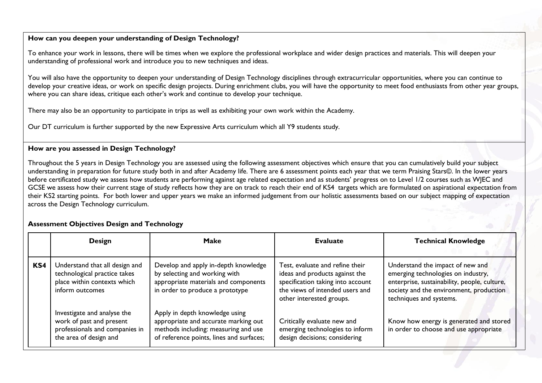## **How can you deepen your understanding of Design Technology?**

To enhance your work in lessons, there will be times when we explore the professional workplace and wider design practices and materials. This will deepen your understanding of professional work and introduce you to new techniques and ideas.

You will also have the opportunity to deepen your understanding of Design Technology disciplines through extracurricular opportunities, where you can continue to develop your creative ideas, or work on specific design projects. During enrichment clubs, you will have the opportunity to meet food enthusiasts from other year groups, where you can share ideas, critique each other's work and continue to develop your technique.

There may also be an opportunity to participate in trips as well as exhibiting your own work within the Academy.

Our DT curriculum is further supported by the new Expressive Arts curriculum which all Y9 students study.

#### **How are you assessed in Design Technology?**

Throughout the 5 years in Design Technology you are assessed using the following assessment objectives which ensure that you can cumulatively build your subject understanding in preparation for future study both in and after Academy life. There are 6 assessment points each year that we term Praising Stars©. In the lower years before certificated study we assess how students are performing against age related expectation and as students' progress on to Level 1/2 courses such as WJEC and GCSE we assess how their current stage of study reflects how they are on track to reach their end of KS4 targets which are formulated on aspirational expectation from their KS2 starting points. For both lower and upper years we make an informed judgement from our holistic assessments based on our subject mapping of expectation across the Design Technology curriculum.

#### **Assessment Objectives Design and Technology**

|     | <b>Design</b>                                                                                                       | <b>Make</b>                                                                                                                                                | <b>Evaluate</b>                                                                                                                                                       | <b>Technical Knowledge</b>                                                                                                                                                                   |
|-----|---------------------------------------------------------------------------------------------------------------------|------------------------------------------------------------------------------------------------------------------------------------------------------------|-----------------------------------------------------------------------------------------------------------------------------------------------------------------------|----------------------------------------------------------------------------------------------------------------------------------------------------------------------------------------------|
| KS4 | Understand that all design and<br>technological practice takes<br>place within contexts which<br>inform outcomes    | Develop and apply in-depth knowledge<br>by selecting and working with<br>appropriate materials and components<br>in order to produce a prototype           | Test, evaluate and refine their<br>ideas and products against the<br>specification taking into account<br>the views of intended users and<br>other interested groups. | Understand the impact of new and<br>emerging technologies on industry,<br>enterprise, sustainability, people, culture,<br>society and the environment, production<br>techniques and systems. |
|     | Investigate and analyse the<br>work of past and present<br>professionals and companies in<br>the area of design and | Apply in depth knowledge using<br>appropriate and accurate marking out<br>methods including: measuring and use<br>of reference points, lines and surfaces; | Critically evaluate new and<br>emerging technologies to inform<br>design decisions; considering                                                                       | Know how energy is generated and stored<br>in order to choose and use appropriate                                                                                                            |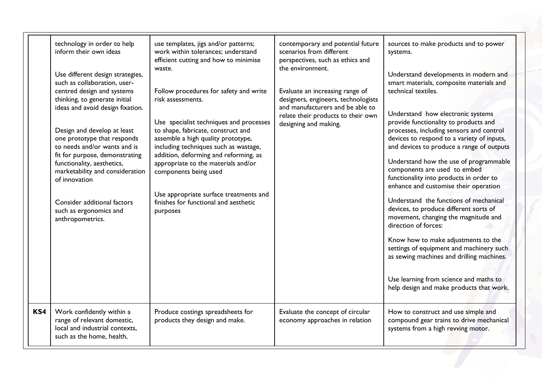|     | technology in order to help<br>inform their own ideas<br>Use different design strategies,<br>such as collaboration, user-<br>centred design and systems<br>thinking, to generate initial<br>ideas and avoid design fixation.<br>Design and develop at least<br>one prototype that responds<br>to needs and/or wants and is<br>fit for purpose, demonstrating<br>functionality, aesthetics,<br>marketability and consideration<br>of innovation<br>Consider additional factors<br>such as ergonomics and<br>anthropometrics. | use templates, jigs and/or patterns;<br>work within tolerances; understand<br>efficient cutting and how to minimise<br>waste.<br>Follow procedures for safety and write<br>risk assessments.<br>Use specialist techniques and processes<br>to shape, fabricate, construct and<br>assemble a high quality prototype,<br>including techniques such as wastage,<br>addition, deforming and reforming, as<br>appropriate to the materials and/or<br>components being used<br>Use appropriate surface treatments and<br>finishes for functional and aesthetic<br>purposes | contemporary and potential future<br>scenarios from different<br>perspectives, such as ethics and<br>the environment.<br>Evaluate an increasing range of<br>designers, engineers, technologists<br>and manufacturers and be able to<br>relate their products to their own<br>designing and making. | sources to make products and to power<br>systems.<br>Understand developments in modern and<br>smart materials, composite materials and<br>technical textiles.<br>Understand how electronic systems<br>provide functionality to products and<br>processes, including sensors and control<br>devices to respond to a variety of inputs,<br>and devices to produce a range of outputs<br>Understand how the use of programmable<br>components are used to embed<br>functionality into products in order to<br>enhance and customise their operation<br>Understand the functions of mechanical<br>devices, to produce different sorts of<br>movement, changing the magnitude and<br>direction of forces:<br>Know how to make adjustments to the<br>settings of equipment and machinery such<br>as sewing machines and drilling machines.<br>Use learning from science and maths to<br>help design and make products that work. |
|-----|-----------------------------------------------------------------------------------------------------------------------------------------------------------------------------------------------------------------------------------------------------------------------------------------------------------------------------------------------------------------------------------------------------------------------------------------------------------------------------------------------------------------------------|----------------------------------------------------------------------------------------------------------------------------------------------------------------------------------------------------------------------------------------------------------------------------------------------------------------------------------------------------------------------------------------------------------------------------------------------------------------------------------------------------------------------------------------------------------------------|----------------------------------------------------------------------------------------------------------------------------------------------------------------------------------------------------------------------------------------------------------------------------------------------------|----------------------------------------------------------------------------------------------------------------------------------------------------------------------------------------------------------------------------------------------------------------------------------------------------------------------------------------------------------------------------------------------------------------------------------------------------------------------------------------------------------------------------------------------------------------------------------------------------------------------------------------------------------------------------------------------------------------------------------------------------------------------------------------------------------------------------------------------------------------------------------------------------------------------------|
| KS4 | Work confidently within a<br>range of relevant domestic,<br>local and industrial contexts,<br>such as the home, health,                                                                                                                                                                                                                                                                                                                                                                                                     | Produce costings spreadsheets for<br>products they design and make.                                                                                                                                                                                                                                                                                                                                                                                                                                                                                                  | Evaluate the concept of circular<br>economy approaches in relation                                                                                                                                                                                                                                 | How to construct and use simple and<br>compound gear trains to drive mechanical<br>systems from a high revving motor.                                                                                                                                                                                                                                                                                                                                                                                                                                                                                                                                                                                                                                                                                                                                                                                                      |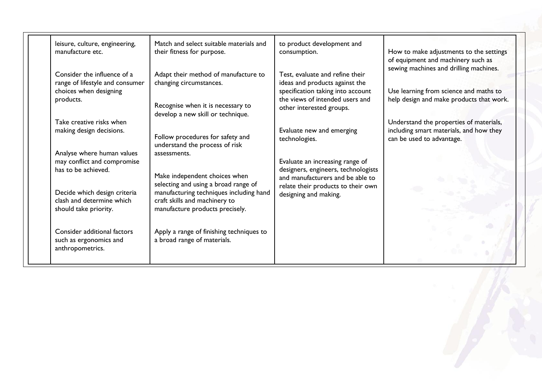| leisure, culture, engineering,<br>manufacture etc.                                                    | Match and select suitable materials and<br>their fitness for purpose.                                                                               | to product development and<br>consumption.                                                                                                | How to make adjustments to the settings<br>of equipment and machinery such as<br>sewing machines and drilling machines. |
|-------------------------------------------------------------------------------------------------------|-----------------------------------------------------------------------------------------------------------------------------------------------------|-------------------------------------------------------------------------------------------------------------------------------------------|-------------------------------------------------------------------------------------------------------------------------|
| Consider the influence of a<br>range of lifestyle and consumer<br>choices when designing<br>products. | Adapt their method of manufacture to<br>changing circumstances.                                                                                     | Test, evaluate and refine their<br>ideas and products against the<br>specification taking into account<br>the views of intended users and | Use learning from science and maths to<br>help design and make products that work.                                      |
| Take creative risks when                                                                              | Recognise when it is necessary to<br>develop a new skill or technique.                                                                              | other interested groups.                                                                                                                  | Understand the properties of materials,                                                                                 |
| making design decisions.                                                                              | Follow procedures for safety and<br>understand the process of risk                                                                                  | Evaluate new and emerging<br>technologies.                                                                                                | including smart materials, and how they<br>can be used to advantage.                                                    |
| Analyse where human values<br>may conflict and compromise<br>has to be achieved.                      | assessments.<br>Make independent choices when                                                                                                       | Evaluate an increasing range of<br>designers, engineers, technologists                                                                    |                                                                                                                         |
| Decide which design criteria<br>clash and determine which<br>should take priority.                    | selecting and using a broad range of<br>manufacturing techniques including hand<br>craft skills and machinery to<br>manufacture products precisely. | and manufacturers and be able to<br>relate their products to their own<br>designing and making.                                           |                                                                                                                         |
| Consider additional factors<br>such as ergonomics and<br>anthropometrics.                             | Apply a range of finishing techniques to<br>a broad range of materials.                                                                             |                                                                                                                                           |                                                                                                                         |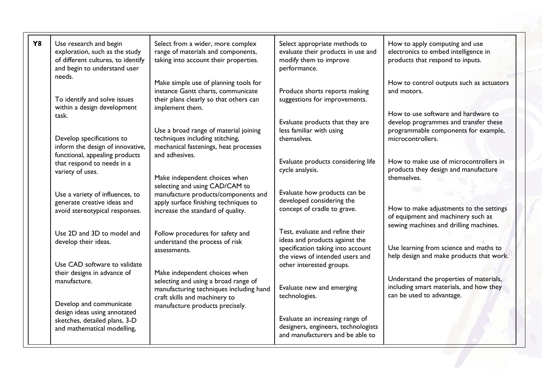| <b>Y8</b> | Use research and begin<br>exploration, such as the study<br>of different cultures, to identify<br>and begin to understand user<br>needs. | Select from a wider, more complex<br>range of materials and components,<br>taking into account their properties.                         | Select appropriate methods to<br>evaluate their products in use and<br>modify them to improve<br>performance. | How to apply computing and use<br>electronics to embed intelligence in<br>products that respond to inputs.              |
|-----------|------------------------------------------------------------------------------------------------------------------------------------------|------------------------------------------------------------------------------------------------------------------------------------------|---------------------------------------------------------------------------------------------------------------|-------------------------------------------------------------------------------------------------------------------------|
|           | To identify and solve issues<br>within a design development                                                                              | Make simple use of planning tools for<br>instance Gantt charts, communicate<br>their plans clearly so that others can<br>implement them. | Produce shorts reports making<br>suggestions for improvements.                                                | How to control outputs such as actuators<br>and motors.                                                                 |
|           | task.                                                                                                                                    |                                                                                                                                          |                                                                                                               | How to use software and hardware to                                                                                     |
|           | Develop specifications to<br>inform the design of innovative,<br>functional, appealing products                                          | Use a broad range of material joining<br>techniques including stitching,<br>mechanical fastenings, heat processes<br>and adhesives.      | Evaluate products that they are<br>less familiar with using<br>themselves.                                    | develop programmes and transfer these<br>programmable components for example,<br>microcontrollers.                      |
|           | that respond to needs in a<br>variety of uses.                                                                                           | Make independent choices when                                                                                                            | Evaluate products considering life<br>cycle analysis.                                                         | How to make use of microcontrollers in<br>products they design and manufacture<br>themselves.                           |
|           | Use a variety of influences, to<br>generate creative ideas and                                                                           | selecting and using CAD/CAM to<br>manufacture products/components and<br>apply surface finishing techniques to                           | Evaluate how products can be<br>developed considering the                                                     |                                                                                                                         |
|           | avoid stereotypical responses.                                                                                                           | increase the standard of quality.                                                                                                        | concept of cradle to grave.                                                                                   | How to make adjustments to the settings<br>of equipment and machinery such as<br>sewing machines and drilling machines. |
|           | Use 2D and 3D to model and                                                                                                               | Follow procedures for safety and                                                                                                         | Test, evaluate and refine their                                                                               |                                                                                                                         |
|           | develop their ideas.                                                                                                                     | understand the process of risk                                                                                                           | ideas and products against the                                                                                |                                                                                                                         |
|           |                                                                                                                                          | assessments.                                                                                                                             | specification taking into account                                                                             | Use learning from science and maths to                                                                                  |
|           | Use CAD software to validate                                                                                                             |                                                                                                                                          | the views of intended users and<br>other interested groups.                                                   | help design and make products that work.                                                                                |
|           | their designs in advance of                                                                                                              | Make independent choices when                                                                                                            |                                                                                                               |                                                                                                                         |
|           | manufacture.                                                                                                                             | selecting and using a broad range of<br>manufacturing techniques including hand                                                          | Evaluate new and emerging<br>technologies.                                                                    | Understand the properties of materials,<br>including smart materials, and how they<br>can be used to advantage.         |
|           | Develop and communicate<br>design ideas using annotated                                                                                  | craft skills and machinery to<br>manufacture products precisely.                                                                         |                                                                                                               |                                                                                                                         |
|           | sketches, detailed plans, 3-D                                                                                                            |                                                                                                                                          | Evaluate an increasing range of                                                                               |                                                                                                                         |
|           | and mathematical modelling,                                                                                                              |                                                                                                                                          | designers, engineers, technologists<br>and manufacturers and be able to                                       |                                                                                                                         |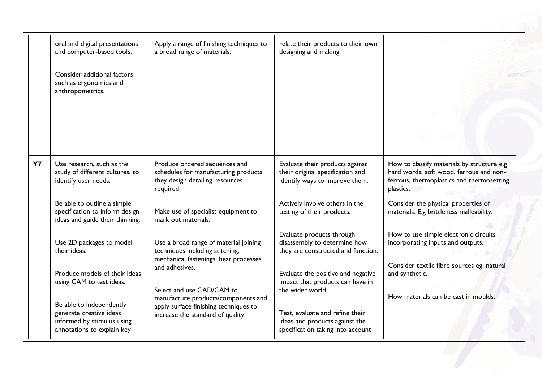|           | oral and digital presentations<br>and computer-based tools.                                                     | Apply a range of finishing techniques to<br>a broad range of materials.                                               | relate their products to their own<br>designing and making.                                            |                                                                                                                                                 |
|-----------|-----------------------------------------------------------------------------------------------------------------|-----------------------------------------------------------------------------------------------------------------------|--------------------------------------------------------------------------------------------------------|-------------------------------------------------------------------------------------------------------------------------------------------------|
|           | Consider additional factors<br>such as ergonomics and<br>anthropometrics.                                       |                                                                                                                       |                                                                                                        |                                                                                                                                                 |
| <b>Y7</b> | Use research, such as the<br>study of different cultures, to<br>identify user needs.                            | Produce ordered sequences and<br>schedules for manufacturing products<br>they design detailing resources<br>required. | Evaluate their products against<br>their original specification and<br>identify ways to improve them.  | How to classify materials by structure e.g<br>hard words, soft wood, ferrous and non-<br>ferrous, thermoplastics and thermosetting<br>plastics. |
|           | Be able to outline a simple<br>specification to inform design<br>ideas and guide their thinking.                | Make use of specialist equipment to<br>mark out materials.                                                            | Actively involve others in the<br>testing of their products.                                           | Consider the physical properties of<br>materials. E.g brittleness malleability.                                                                 |
|           | Use 2D packages to model<br>their ideas.                                                                        | Use a broad range of material joining<br>techniques including stitching,<br>mechanical fastenings, heat processes     | Evaluate products through<br>disassembly to determine how<br>they are constructed and function.        | How to use simple electronic circuits<br>incorporating inputs and outputs.                                                                      |
|           | Produce models of their ideas<br>using CAM to test ideas.                                                       | and adhesives.<br>Select and use CAD/CAM to                                                                           | Evaluate the positive and negative<br>impact that products can have in<br>the wider world.             | Consider textile fibre sources eg. natural<br>and synthetic.                                                                                    |
|           | Be able to independently<br>generate creative ideas<br>informed by stimulus using<br>annotations to explain key | manufacture products/components and<br>apply surface finishing techniques to<br>increase the standard of quality.     | Test, evaluate and refine their<br>ideas and products against the<br>specification taking into account | How materials can be cast in moulds.                                                                                                            |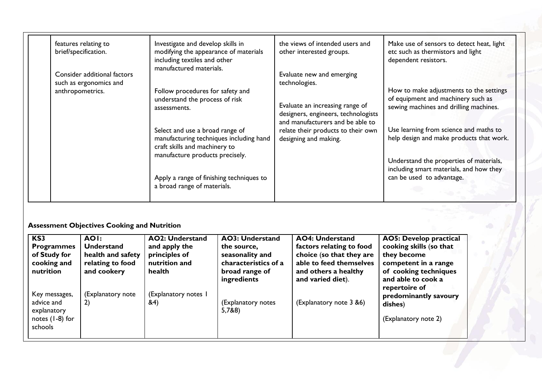| features relating to<br>brief/specification. | Investigate and develop skills in<br>modifying the appearance of materials<br>including textiles and other<br>manufactured materials. | the views of intended users and<br>other interested groups.            | Make use of sensors to detect heat, light<br>etc such as thermistors and light<br>dependent resistors.                  |
|----------------------------------------------|---------------------------------------------------------------------------------------------------------------------------------------|------------------------------------------------------------------------|-------------------------------------------------------------------------------------------------------------------------|
|                                              |                                                                                                                                       |                                                                        |                                                                                                                         |
| anthropometrics.                             | Follow procedures for safety and<br>understand the process of risk<br>assessments.                                                    | Evaluate an increasing range of<br>designers, engineers, technologists | How to make adjustments to the settings<br>of equipment and machinery such as<br>sewing machines and drilling machines. |
|                                              | Select and use a broad range of<br>manufacturing techniques including hand<br>craft skills and machinery to                           | relate their products to their own<br>designing and making.            | Use learning from science and maths to<br>help design and make products that work.                                      |
|                                              | Apply a range of finishing techniques to<br>a broad range of materials.                                                               |                                                                        | Understand the properties of materials,<br>including smart materials, and how they<br>can be used to advantage.         |
|                                              | Consider additional factors<br>such as ergonomics and                                                                                 | manufacture products precisely.                                        | Evaluate new and emerging<br>technologies.<br>and manufacturers and be able to                                          |

# **Assessment Objectives Cooking and Nutrition**

| KS3<br><b>Programmes</b><br>of Study for<br>cooking and<br>nutrition       | <b>AOI:</b><br><b>Understand</b><br>health and safety<br>relating to food<br>and cookery | <b>AO2: Understand</b><br>and apply the<br>principles of<br>nutrition and<br>health | <b>AO3: Understand</b><br>the source,<br>seasonality and<br>characteristics of a<br>broad range of<br>ingredients | <b>AO4: Understand</b><br>factors relating to food<br>choice (so that they are<br>able to feed themselves<br>and others a healthy<br>and varied diet). | <b>AO5: Develop practical</b><br>cooking skills (so that<br>they become<br>competent in a range<br>of cooking techniques<br>and able to cook a<br>repertoire of |
|----------------------------------------------------------------------------|------------------------------------------------------------------------------------------|-------------------------------------------------------------------------------------|-------------------------------------------------------------------------------------------------------------------|--------------------------------------------------------------------------------------------------------------------------------------------------------|-----------------------------------------------------------------------------------------------------------------------------------------------------------------|
| Key messages,<br>advice and<br>explanatory<br>notes $(1-8)$ for<br>schools | (Explanatory note<br>2)                                                                  | (Explanatory notes I<br>&4)                                                         | (Explanatory notes<br>5,7&8)                                                                                      | (Explanatory note 3 &6)                                                                                                                                | predominantly savoury<br>dishes)<br>(Explanatory note 2)                                                                                                        |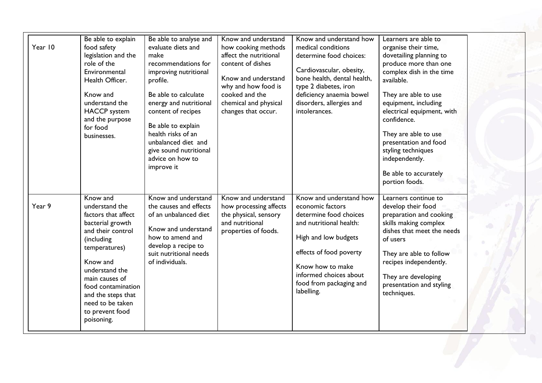| Year 10 | Be able to explain<br>food safety<br>legislation and the<br>role of the<br>Environmental<br>Health Officer.<br>Know and<br>understand the<br><b>HACCP</b> system<br>and the purpose<br>for food<br>businesses.                                                             | Be able to analyse and<br>evaluate diets and<br>make<br>recommendations for<br>improving nutritional<br>profile.<br>Be able to calculate<br>energy and nutritional<br>content of recipes<br>Be able to explain<br>health risks of an<br>unbalanced diet and<br>give sound nutritional<br>advice on how to<br>improve it | Know and understand<br>how cooking methods<br>affect the nutritional<br>content of dishes<br>Know and understand<br>why and how food is<br>cooked and the<br>chemical and physical<br>changes that occur. | Know and understand how<br>medical conditions<br>determine food choices:<br>Cardiovascular, obesity,<br>bone health, dental health,<br>type 2 diabetes, iron<br>deficiency anaemia bowel<br>disorders, allergies and<br>intolerances.      | Learners are able to<br>organise their time,<br>dovetailing planning to<br>produce more than one<br>complex dish in the time<br>available.<br>They are able to use<br>equipment, including<br>electrical equipment, with<br>confidence.<br>They are able to use<br>presentation and food<br>styling techniques<br>independently.<br>Be able to accurately<br>portion foods. |  |
|---------|----------------------------------------------------------------------------------------------------------------------------------------------------------------------------------------------------------------------------------------------------------------------------|-------------------------------------------------------------------------------------------------------------------------------------------------------------------------------------------------------------------------------------------------------------------------------------------------------------------------|-----------------------------------------------------------------------------------------------------------------------------------------------------------------------------------------------------------|--------------------------------------------------------------------------------------------------------------------------------------------------------------------------------------------------------------------------------------------|-----------------------------------------------------------------------------------------------------------------------------------------------------------------------------------------------------------------------------------------------------------------------------------------------------------------------------------------------------------------------------|--|
| Year 9  | Know and<br>understand the<br>factors that affect<br>bacterial growth<br>and their control<br>(including<br>temperatures)<br>Know and<br>understand the<br>main causes of<br>food contamination<br>and the steps that<br>need to be taken<br>to prevent food<br>poisoning. | Know and understand<br>the causes and effects<br>of an unbalanced diet<br>Know and understand<br>how to amend and<br>develop a recipe to<br>suit nutritional needs<br>of individuals.                                                                                                                                   | Know and understand<br>how processing affects<br>the physical, sensory<br>and nutritional<br>properties of foods.                                                                                         | Know and understand how<br>economic factors<br>determine food choices<br>and nutritional health:<br>High and low budgets<br>effects of food poverty<br>Know how to make<br>informed choices about<br>food from packaging and<br>labelling. | Learners continue to<br>develop their food<br>preparation and cooking<br>skills making complex<br>dishes that meet the needs<br>of users<br>They are able to follow<br>recipes independently.<br>They are developing<br>presentation and styling<br>techniques.                                                                                                             |  |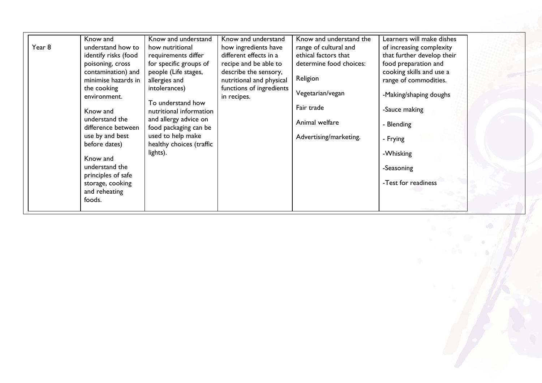| Year 8 | Know and<br>understand how to<br>identify risks (food<br>poisoning, cross<br>contamination) and<br>minimise hazards in<br>the cooking<br>environment.<br>Know and<br>understand the<br>difference between<br>use by and best<br>before dates)<br>Know and<br>understand the<br>principles of safe<br>storage, cooking<br>and reheating<br>foods. | Know and understand<br>how nutritional<br>requirements differ<br>for specific groups of<br>people (Life stages,<br>allergies and<br>intolerances)<br>To understand how<br>nutritional information<br>and allergy advice on<br>food packaging can be<br>used to help make<br>healthy choices (traffic<br>lights). | Know and understand<br>how ingredients have<br>different effects in a<br>recipe and be able to<br>describe the sensory,<br>nutritional and physical<br>functions of ingredients<br>in recipes. | Know and understand the<br>range of cultural and<br>ethical factors that<br>determine food choices:<br>Religion<br>Vegetarian/vegan<br>Fair trade<br>Animal welfare<br>Advertising/marketing. | Learners will make dishes<br>of increasing complexity<br>that further develop their<br>food preparation and<br>cooking skills and use a<br>range of commodities.<br>-Making/shaping doughs<br>-Sauce making<br>- Blending<br>- Frying<br>-Whisking<br>-Seasoning<br>-Test for readiness |  |
|--------|--------------------------------------------------------------------------------------------------------------------------------------------------------------------------------------------------------------------------------------------------------------------------------------------------------------------------------------------------|------------------------------------------------------------------------------------------------------------------------------------------------------------------------------------------------------------------------------------------------------------------------------------------------------------------|------------------------------------------------------------------------------------------------------------------------------------------------------------------------------------------------|-----------------------------------------------------------------------------------------------------------------------------------------------------------------------------------------------|-----------------------------------------------------------------------------------------------------------------------------------------------------------------------------------------------------------------------------------------------------------------------------------------|--|
|--------|--------------------------------------------------------------------------------------------------------------------------------------------------------------------------------------------------------------------------------------------------------------------------------------------------------------------------------------------------|------------------------------------------------------------------------------------------------------------------------------------------------------------------------------------------------------------------------------------------------------------------------------------------------------------------|------------------------------------------------------------------------------------------------------------------------------------------------------------------------------------------------|-----------------------------------------------------------------------------------------------------------------------------------------------------------------------------------------------|-----------------------------------------------------------------------------------------------------------------------------------------------------------------------------------------------------------------------------------------------------------------------------------------|--|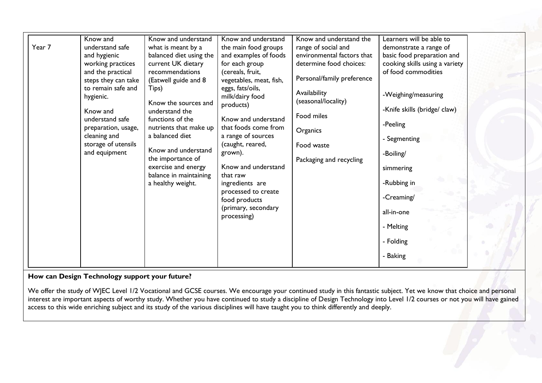| Year 7 | Know and<br>understand safe<br>and hygienic<br>working practices<br>and the practical<br>steps they can take<br>to remain safe and<br>hygienic.<br>Know and<br>understand safe<br>preparation, usage,<br>cleaning and<br>storage of utensils<br>and equipment | Know and understand<br>what is meant by a<br>balanced diet using the<br>current UK dietary<br>recommendations<br>(Eatwell guide and 8<br>Tips)<br>Know the sources and<br>understand the<br>functions of the<br>nutrients that make up<br>a balanced diet<br>Know and understand<br>the importance of<br>exercise and energy<br>balance in maintaining<br>a healthy weight. | Know and understand<br>the main food groups<br>and examples of foods<br>for each group<br>(cereals, fruit,<br>vegetables, meat, fish,<br>eggs, fats/oils,<br>milk/dairy food<br>products)<br>Know and understand<br>that foods come from<br>a range of sources<br>(caught, reared,<br>grown).<br>Know and understand<br>that raw<br>ingredients are<br>processed to create<br>food products<br>(primary, secondary<br>processing) | Know and understand the<br>range of social and<br>environmental factors that<br>determine food choices:<br>Personal/family preference<br>Availability<br>(seasonal/locality)<br>Food miles<br>Organics<br>Food waste<br>Packaging and recycling | Learners will be able to<br>demonstrate a range of<br>basic food preparation and<br>cooking skills using a variety<br>of food commodities<br>-Weighing/measuring<br>-Knife skills (bridge/ claw)<br>-Peeling<br>- Segmenting<br>-Boiling/<br>simmering<br>-Rubbing in<br>-Creaming/<br>all-in-one<br>- Melting<br>- Folding<br>- Baking |  |
|--------|---------------------------------------------------------------------------------------------------------------------------------------------------------------------------------------------------------------------------------------------------------------|-----------------------------------------------------------------------------------------------------------------------------------------------------------------------------------------------------------------------------------------------------------------------------------------------------------------------------------------------------------------------------|-----------------------------------------------------------------------------------------------------------------------------------------------------------------------------------------------------------------------------------------------------------------------------------------------------------------------------------------------------------------------------------------------------------------------------------|-------------------------------------------------------------------------------------------------------------------------------------------------------------------------------------------------------------------------------------------------|-----------------------------------------------------------------------------------------------------------------------------------------------------------------------------------------------------------------------------------------------------------------------------------------------------------------------------------------|--|
|--------|---------------------------------------------------------------------------------------------------------------------------------------------------------------------------------------------------------------------------------------------------------------|-----------------------------------------------------------------------------------------------------------------------------------------------------------------------------------------------------------------------------------------------------------------------------------------------------------------------------------------------------------------------------|-----------------------------------------------------------------------------------------------------------------------------------------------------------------------------------------------------------------------------------------------------------------------------------------------------------------------------------------------------------------------------------------------------------------------------------|-------------------------------------------------------------------------------------------------------------------------------------------------------------------------------------------------------------------------------------------------|-----------------------------------------------------------------------------------------------------------------------------------------------------------------------------------------------------------------------------------------------------------------------------------------------------------------------------------------|--|

#### **How can Design Technology support your future?**

We offer the study of WJEC Level 1/2 Vocational and GCSE courses. We encourage your continued study in this fantastic subject. Yet we know that choice and personal interest are important aspects of worthy study. Whether you have continued to study a discipline of Design Technology into Level 1/2 courses or not you will have gained access to this wide enriching subject and its study of the various disciplines will have taught you to think differently and deeply.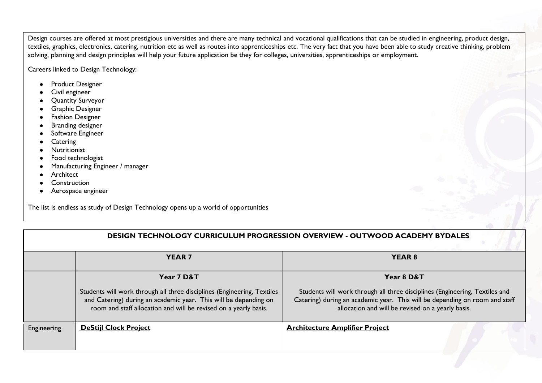Design courses are offered at most prestigious universities and there are many technical and vocational qualifications that can be studied in engineering, product design, textiles, graphics, electronics, catering, nutrition etc as well as routes into apprenticeships etc. The very fact that you have been able to study creative thinking, problem solving, planning and design principles will help your future application be they for colleges, universities, apprenticeships or employment.

Careers linked to Design Technology:

- Product Designer
- Civil engineer
- Quantity Surveyor
- Graphic Designer
- Fashion Designer
- Branding designer
- Software Engineer
- Catering
- Nutritionist
- Food technologist
- Manufacturing Engineer / manager
- Architect
- Construction
- Aerospace engineer

The list is endless as study of Design Technology opens up a world of opportunities

|             | <b>DESIGN TECHNOLOGY CURRICULUM PROGRESSION OVERVIEW - OUTWOOD ACADEMY BYDALES</b>                                                                                                                              |                                                                                                                                                                                                                 |  |  |  |
|-------------|-----------------------------------------------------------------------------------------------------------------------------------------------------------------------------------------------------------------|-----------------------------------------------------------------------------------------------------------------------------------------------------------------------------------------------------------------|--|--|--|
|             | <b>YEAR 7</b>                                                                                                                                                                                                   | YEAR 8                                                                                                                                                                                                          |  |  |  |
|             | Year 7 D&T                                                                                                                                                                                                      | Year 8 D&T                                                                                                                                                                                                      |  |  |  |
|             | Students will work through all three disciplines (Engineering, Textiles<br>and Catering) during an academic year. This will be depending on<br>room and staff allocation and will be revised on a yearly basis. | Students will work through all three disciplines (Engineering, Textiles and<br>Catering) during an academic year. This will be depending on room and staff<br>allocation and will be revised on a yearly basis. |  |  |  |
| Engineering | <b>DeStijl Clock Project</b>                                                                                                                                                                                    | <b>Architecture Amplifier Project</b>                                                                                                                                                                           |  |  |  |
|             |                                                                                                                                                                                                                 |                                                                                                                                                                                                                 |  |  |  |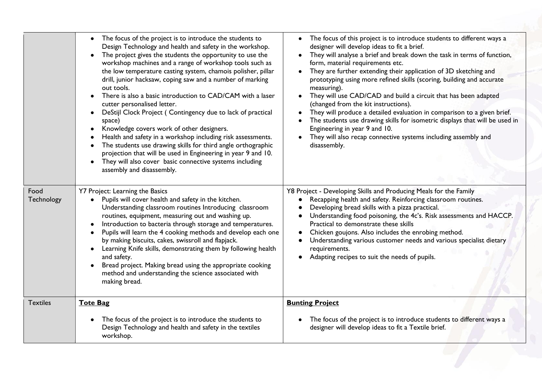|                    | The focus of the project is to introduce the students to<br>$\bullet$<br>Design Technology and health and safety in the workshop.<br>The project gives the students the opportunity to use the<br>$\bullet$<br>workshop machines and a range of workshop tools such as<br>the low temperature casting system, chamois polisher, pillar<br>drill, junior hacksaw, coping saw and a number of marking<br>out tools.<br>There is also a basic introduction to CAD/CAM with a laser<br>$\bullet$<br>cutter personalised letter.<br>DeStijl Clock Project (Contingency due to lack of practical<br>$\bullet$<br>space)<br>Knowledge covers work of other designers.<br>$\bullet$<br>Health and safety in a workshop including risk assessments.<br>The students use drawing skills for third angle orthographic<br>projection that will be used in Engineering in year 9 and 10.<br>They will also cover basic connective systems including<br>assembly and disassembly. | The focus of this project is to introduce students to different ways a<br>designer will develop ideas to fit a brief.<br>They will analyse a brief and break down the task in terms of function,<br>form, material requirements etc.<br>• They are further extending their application of 3D sketching and<br>prototyping using more refined skills (scoring, building and accurate<br>measuring).<br>They will use CAD/CAD and build a circuit that has been adapted<br>$\bullet$<br>(changed from the kit instructions).<br>They will produce a detailed evaluation in comparison to a given brief.<br>The students use drawing skills for isometric displays that will be used in<br>Engineering in year 9 and 10.<br>They will also recap connective systems including assembly and<br>disassembly. |
|--------------------|---------------------------------------------------------------------------------------------------------------------------------------------------------------------------------------------------------------------------------------------------------------------------------------------------------------------------------------------------------------------------------------------------------------------------------------------------------------------------------------------------------------------------------------------------------------------------------------------------------------------------------------------------------------------------------------------------------------------------------------------------------------------------------------------------------------------------------------------------------------------------------------------------------------------------------------------------------------------|---------------------------------------------------------------------------------------------------------------------------------------------------------------------------------------------------------------------------------------------------------------------------------------------------------------------------------------------------------------------------------------------------------------------------------------------------------------------------------------------------------------------------------------------------------------------------------------------------------------------------------------------------------------------------------------------------------------------------------------------------------------------------------------------------------|
| Food<br>Technology | Y7 Project: Learning the Basics<br>Pupils will cover health and safety in the kitchen.<br>$\bullet$<br>Understanding classroom routines Introducing classroom<br>routines, equipment, measuring out and washing up.<br>Introduction to bacteria through storage and temperatures.<br>Pupils will learn the 4 cooking methods and develop each one<br>by making biscuits, cakes, swissroll and flapjack.<br>Learning Knife skills, demonstrating them by following health<br>and safety.<br>Bread project. Making bread using the appropriate cooking<br>method and understanding the science associated with<br>making bread.                                                                                                                                                                                                                                                                                                                                       | Y8 Project - Developing Skills and Producing Meals for the Family<br>Recapping health and safety. Reinforcing classroom routines.<br>Developing bread skills with a pizza practical.<br>Understanding food poisoning, the 4c's. Risk assessments and HACCP.<br>Practical to demonstrate these skills<br>Chicken goujons. Also includes the enrobing method.<br>Understanding various customer needs and various specialist dietary<br>requirements.<br>Adapting recipes to suit the needs of pupils.                                                                                                                                                                                                                                                                                                    |
| <b>Textiles</b>    | <b>Tote Bag</b>                                                                                                                                                                                                                                                                                                                                                                                                                                                                                                                                                                                                                                                                                                                                                                                                                                                                                                                                                     | <b>Bunting Project</b>                                                                                                                                                                                                                                                                                                                                                                                                                                                                                                                                                                                                                                                                                                                                                                                  |
|                    | The focus of the project is to introduce the students to<br>$\bullet$<br>Design Technology and health and safety in the textiles<br>workshop.                                                                                                                                                                                                                                                                                                                                                                                                                                                                                                                                                                                                                                                                                                                                                                                                                       | The focus of the project is to introduce students to different ways a<br>$\bullet$<br>designer will develop ideas to fit a Textile brief.                                                                                                                                                                                                                                                                                                                                                                                                                                                                                                                                                                                                                                                               |